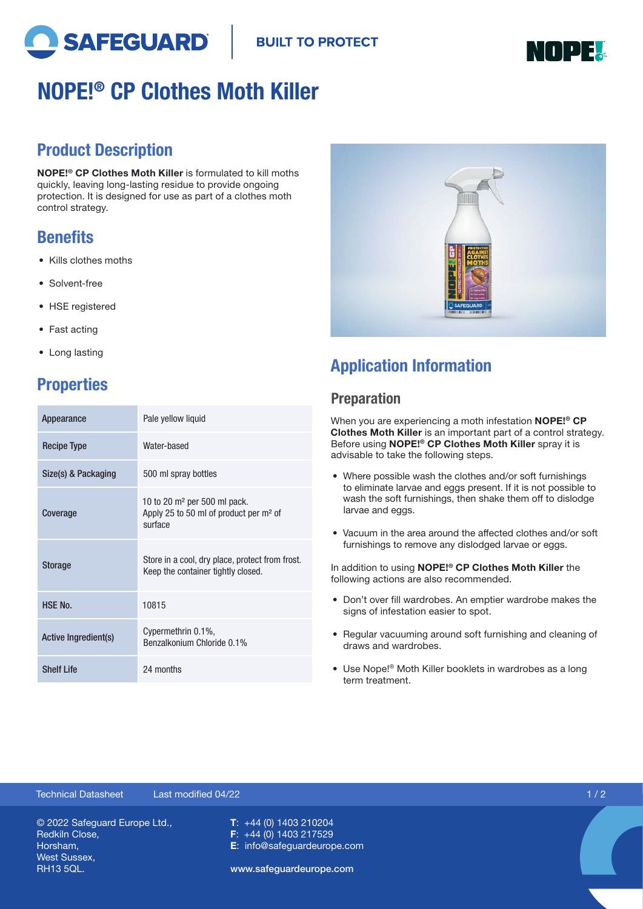



# NOPE!® CP Clothes Moth Killer

## Product Description

NOPE!® CP Clothes Moth Killer is formulated to kill moths quickly, leaving long-lasting residue to provide ongoing protection. It is designed for use as part of a clothes moth control strategy.

## **Benefits**

- Kills clothes moths
- Solvent-free
- HSE registered
- Fast acting
- Long lasting

# **Properties**

| Appearance           | Pale yellow liquid                                                                              |
|----------------------|-------------------------------------------------------------------------------------------------|
| <b>Recipe Type</b>   | Water-based                                                                                     |
| Size(s) & Packaging  | 500 ml spray bottles                                                                            |
| Coverage             | 10 to 20 $m2$ per 500 ml pack.<br>Apply 25 to 50 ml of product per m <sup>2</sup> of<br>surface |
| <b>Storage</b>       | Store in a cool, dry place, protect from frost.<br>Keep the container tightly closed.           |
| <b>HSE No.</b>       | 10815                                                                                           |
| Active Ingredient(s) | Cypermethrin 0.1%,<br>Benzalkonium Chloride 0.1%                                                |
| <b>Shelf Life</b>    | 24 months                                                                                       |



# Application Information

### **Preparation**

When you are experiencing a moth infestation **NOPE!**<sup>®</sup> CP Clothes Moth Killer is an important part of a control strategy. Before using NOPE!® CP Clothes Moth Killer spray it is advisable to take the following steps.

- Where possible wash the clothes and/or soft furnishings to eliminate larvae and eggs present. If it is not possible to wash the soft furnishings, then shake them off to dislodge larvae and eggs.
- Vacuum in the area around the affected clothes and/or soft furnishings to remove any dislodged larvae or eggs.

In addition to using NOPE!<sup>®</sup> CP Clothes Moth Killer the following actions are also recommended.

- Don't over fill wardrobes. An emptier wardrobe makes the signs of infestation easier to spot.
- Regular vacuuming around soft furnishing and cleaning of draws and wardrobes.
- Use Nope!® Moth Killer booklets in wardrobes as a long term treatment.

#### © 2022 Safeguard Europe Ltd., Redkiln Close, Horsham, West Sussex, RH13 5QL. T: +44 (0) 1403 210204 F: +44 (0) 1403 217529 E: info@safeguardeurope.com www.safeguardeurope.com Technical Datasheet Last modified 04/22 1 / 2